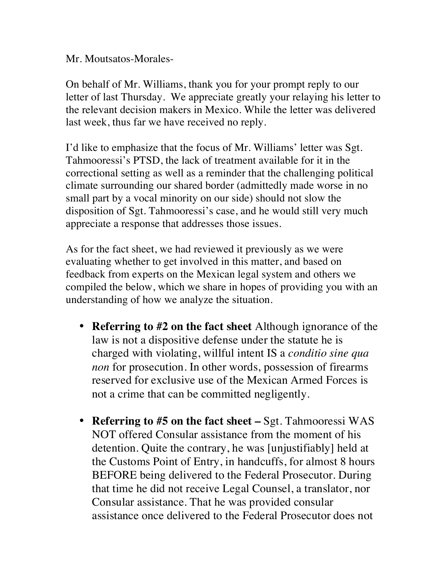Mr. Moutsatos-Morales-

On behalf of Mr. Williams, thank you for your prompt reply to our letter of last Thursday. We appreciate greatly your relaying his letter to the relevant decision makers in Mexico. While the letter was delivered last week, thus far we have received no reply.

I'd like to emphasize that the focus of Mr. Williams' letter was Sgt. Tahmooressi's PTSD, the lack of treatment available for it in the correctional setting as well as a reminder that the challenging political climate surrounding our shared border (admittedly made worse in no small part by a vocal minority on our side) should not slow the disposition of Sgt. Tahmooressi's case, and he would still very much appreciate a response that addresses those issues.

As for the fact sheet, we had reviewed it previously as we were evaluating whether to get involved in this matter, and based on feedback from experts on the Mexican legal system and others we compiled the below, which we share in hopes of providing you with an understanding of how we analyze the situation.

- **Referring to #2 on the fact sheet** Although ignorance of the law is not a dispositive defense under the statute he is charged with violating, willful intent IS a *conditio sine qua non* for prosecution. In other words, possession of firearms reserved for exclusive use of the Mexican Armed Forces is not a crime that can be committed negligently.
- **Referring to #5 on the fact sheet –** Sgt. Tahmooressi WAS NOT offered Consular assistance from the moment of his detention. Quite the contrary, he was [unjustifiably] held at the Customs Point of Entry, in handcuffs, for almost 8 hours BEFORE being delivered to the Federal Prosecutor. During that time he did not receive Legal Counsel, a translator, nor Consular assistance. That he was provided consular assistance once delivered to the Federal Prosecutor does not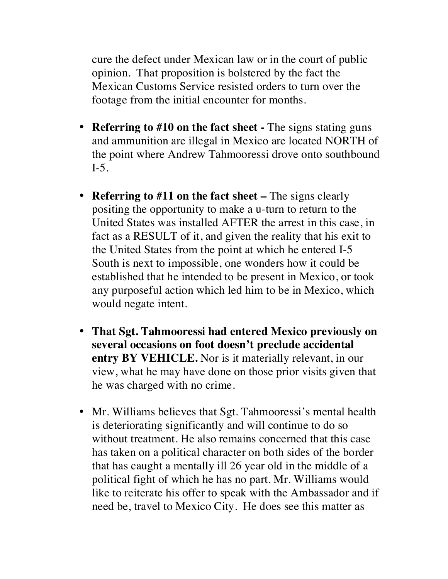cure the defect under Mexican law or in the court of public opinion. That proposition is bolstered by the fact the Mexican Customs Service resisted orders to turn over the footage from the initial encounter for months.

- **Referring to #10 on the fact sheet -** The signs stating guns and ammunition are illegal in Mexico are located NORTH of the point where Andrew Tahmooressi drove onto southbound I-5.
- **Referring to #11 on the fact sheet –** The signs clearly positing the opportunity to make a u-turn to return to the United States was installed AFTER the arrest in this case, in fact as a RESULT of it, and given the reality that his exit to the United States from the point at which he entered I-5 South is next to impossible, one wonders how it could be established that he intended to be present in Mexico, or took any purposeful action which led him to be in Mexico, which would negate intent.
- **That Sgt. Tahmooressi had entered Mexico previously on several occasions on foot doesn't preclude accidental entry BY VEHICLE.** Nor is it materially relevant, in our view, what he may have done on those prior visits given that he was charged with no crime.
- Mr. Williams believes that Sgt. Tahmooressi's mental health is deteriorating significantly and will continue to do so without treatment. He also remains concerned that this case has taken on a political character on both sides of the border that has caught a mentally ill 26 year old in the middle of a political fight of which he has no part. Mr. Williams would like to reiterate his offer to speak with the Ambassador and if need be, travel to Mexico City. He does see this matter as